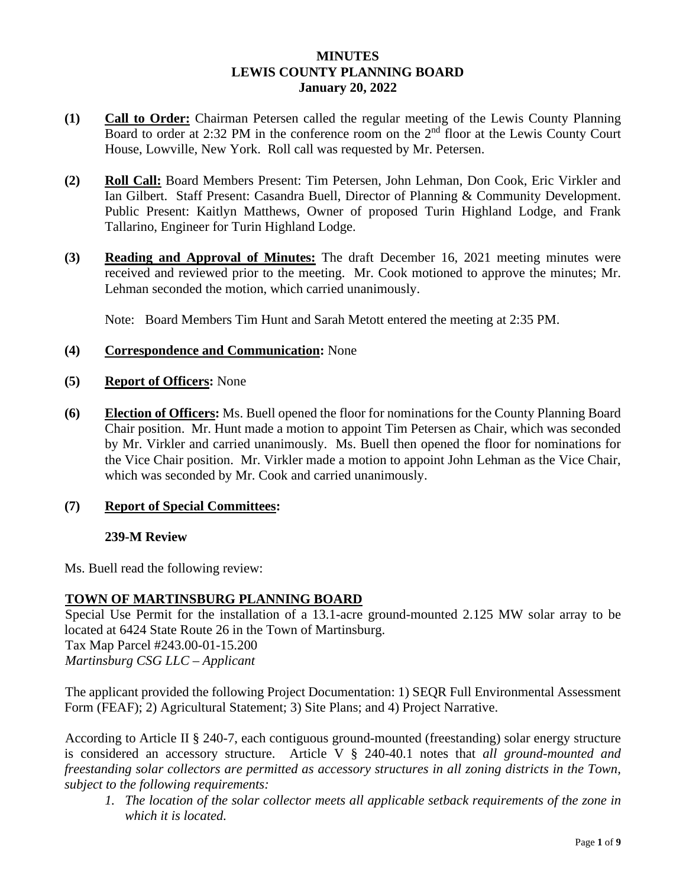### **MINUTES LEWIS COUNTY PLANNING BOARD January 20, 2022**

- **(1) Call to Order:** Chairman Petersen called the regular meeting of the Lewis County Planning Board to order at 2:32 PM in the conference room on the  $2<sup>nd</sup>$  floor at the Lewis County Court House, Lowville, New York. Roll call was requested by Mr. Petersen.
- **(2) Roll Call:** Board Members Present: Tim Petersen, John Lehman, Don Cook, Eric Virkler and Ian Gilbert. Staff Present: Casandra Buell, Director of Planning & Community Development. Public Present: Kaitlyn Matthews, Owner of proposed Turin Highland Lodge, and Frank Tallarino, Engineer for Turin Highland Lodge.
- **(3) Reading and Approval of Minutes:** The draft December 16, 2021 meeting minutes were received and reviewed prior to the meeting. Mr. Cook motioned to approve the minutes; Mr. Lehman seconded the motion, which carried unanimously.

Note: Board Members Tim Hunt and Sarah Metott entered the meeting at 2:35 PM.

- **(4) Correspondence and Communication:** None
- **(5) Report of Officers:** None
- **(6) Election of Officers:** Ms. Buell opened the floor for nominations for the County Planning Board Chair position. Mr. Hunt made a motion to appoint Tim Petersen as Chair, which was seconded by Mr. Virkler and carried unanimously. Ms. Buell then opened the floor for nominations for the Vice Chair position. Mr. Virkler made a motion to appoint John Lehman as the Vice Chair, which was seconded by Mr. Cook and carried unanimously.

# **(7) Report of Special Committees:**

### **239-M Review**

Ms. Buell read the following review:

### **TOWN OF MARTINSBURG PLANNING BOARD**

Special Use Permit for the installation of a 13.1-acre ground-mounted 2.125 MW solar array to be located at 6424 State Route 26 in the Town of Martinsburg. Tax Map Parcel #243.00-01-15.200

*Martinsburg CSG LLC – Applicant*

The applicant provided the following Project Documentation: 1) SEQR Full Environmental Assessment Form (FEAF); 2) Agricultural Statement; 3) Site Plans; and 4) Project Narrative.

According to Article II § 240-7, each contiguous ground-mounted (freestanding) solar energy structure is considered an accessory structure. Article V § 240-40.1 notes that *all ground-mounted and freestanding solar collectors are permitted as accessory structures in all zoning districts in the Town, subject to the following requirements:*

*1. The location of the solar collector meets all applicable setback requirements of the zone in which it is located.*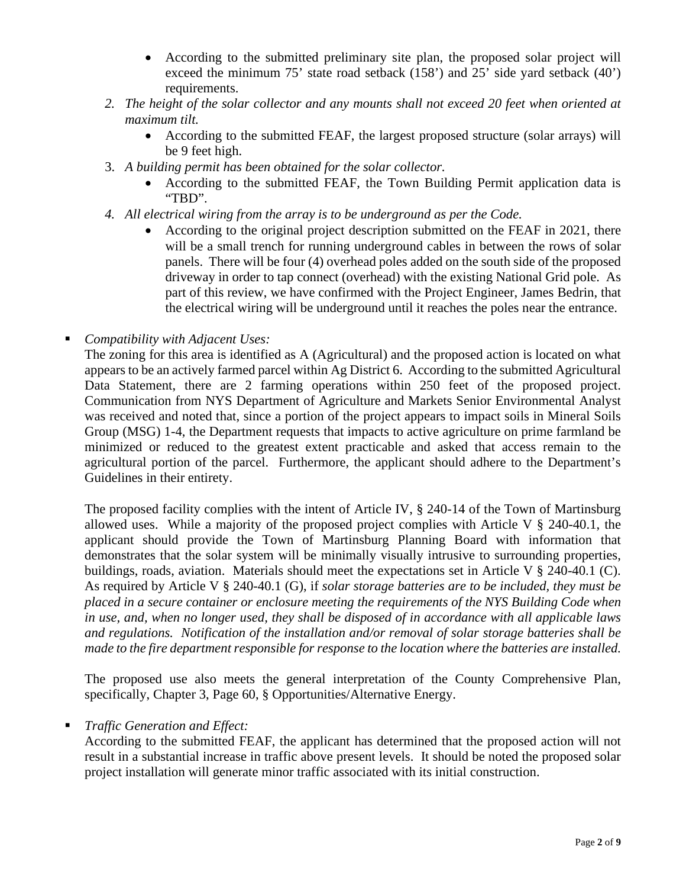- According to the submitted preliminary site plan, the proposed solar project will exceed the minimum 75' state road setback (158') and 25' side yard setback (40') requirements.
- *2. The height of the solar collector and any mounts shall not exceed 20 feet when oriented at maximum tilt.*
	- According to the submitted FEAF, the largest proposed structure (solar arrays) will be 9 feet high.
- 3. *A building permit has been obtained for the solar collector.*
	- According to the submitted FEAF, the Town Building Permit application data is "TBD".
- *4. All electrical wiring from the array is to be underground as per the Code.*
	- According to the original project description submitted on the FEAF in 2021, there will be a small trench for running underground cables in between the rows of solar panels. There will be four (4) overhead poles added on the south side of the proposed driveway in order to tap connect (overhead) with the existing National Grid pole. As part of this review, we have confirmed with the Project Engineer, James Bedrin, that the electrical wiring will be underground until it reaches the poles near the entrance.
- *Compatibility with Adjacent Uses:*

The zoning for this area is identified as A (Agricultural) and the proposed action is located on what appears to be an actively farmed parcel within Ag District 6. According to the submitted Agricultural Data Statement, there are 2 farming operations within 250 feet of the proposed project. Communication from NYS Department of Agriculture and Markets Senior Environmental Analyst was received and noted that, since a portion of the project appears to impact soils in Mineral Soils Group (MSG) 1-4, the Department requests that impacts to active agriculture on prime farmland be minimized or reduced to the greatest extent practicable and asked that access remain to the agricultural portion of the parcel. Furthermore, the applicant should adhere to the Department's Guidelines in their entirety.

The proposed facility complies with the intent of Article IV, § 240-14 of the Town of Martinsburg allowed uses. While a majority of the proposed project complies with Article V  $\S$  240-40.1, the applicant should provide the Town of Martinsburg Planning Board with information that demonstrates that the solar system will be minimally visually intrusive to surrounding properties, buildings, roads, aviation. Materials should meet the expectations set in Article V § 240-40.1 (C). As required by Article V § 240-40.1 (G), if *solar storage batteries are to be included, they must be placed in a secure container or enclosure meeting the requirements of the NYS Building Code when in use, and, when no longer used, they shall be disposed of in accordance with all applicable laws and regulations. Notification of the installation and/or removal of solar storage batteries shall be made to the fire department responsible for response to the location where the batteries are installed.*

The proposed use also meets the general interpretation of the County Comprehensive Plan, specifically, Chapter 3, Page 60, § Opportunities/Alternative Energy.

### *Traffic Generation and Effect:*

According to the submitted FEAF, the applicant has determined that the proposed action will not result in a substantial increase in traffic above present levels. It should be noted the proposed solar project installation will generate minor traffic associated with its initial construction.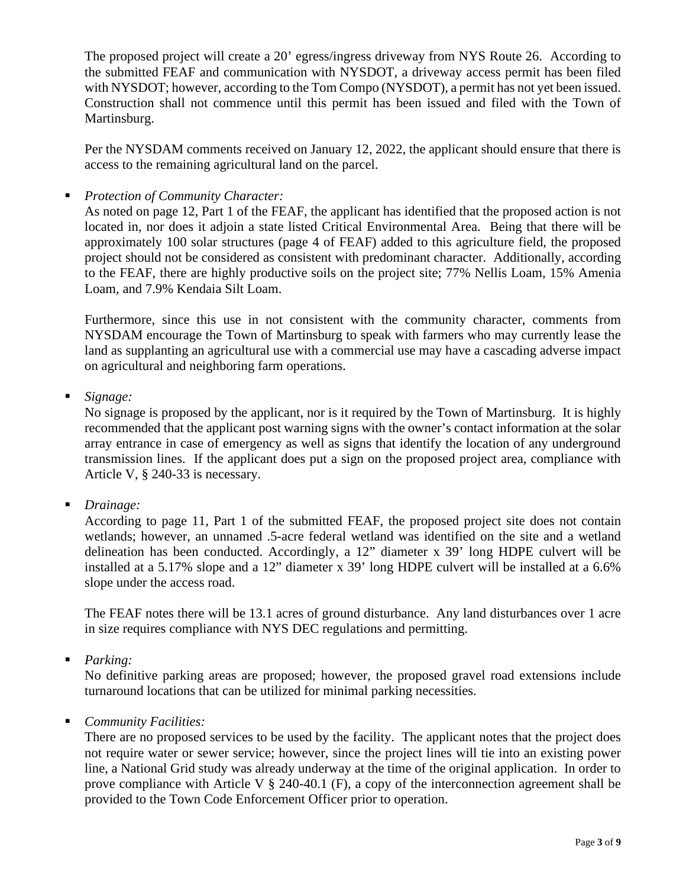The proposed project will create a 20' egress/ingress driveway from NYS Route 26. According to the submitted FEAF and communication with NYSDOT, a driveway access permit has been filed with NYSDOT; however, according to the Tom Compo (NYSDOT), a permit has not yet been issued. Construction shall not commence until this permit has been issued and filed with the Town of Martinsburg.

Per the NYSDAM comments received on January 12, 2022, the applicant should ensure that there is access to the remaining agricultural land on the parcel.

*Protection of Community Character:*

As noted on page 12, Part 1 of the FEAF, the applicant has identified that the proposed action is not located in, nor does it adjoin a state listed Critical Environmental Area. Being that there will be approximately 100 solar structures (page 4 of FEAF) added to this agriculture field, the proposed project should not be considered as consistent with predominant character. Additionally, according to the FEAF, there are highly productive soils on the project site; 77% Nellis Loam, 15% Amenia Loam, and 7.9% Kendaia Silt Loam.

Furthermore, since this use in not consistent with the community character, comments from NYSDAM encourage the Town of Martinsburg to speak with farmers who may currently lease the land as supplanting an agricultural use with a commercial use may have a cascading adverse impact on agricultural and neighboring farm operations.

*Signage:*

No signage is proposed by the applicant, nor is it required by the Town of Martinsburg. It is highly recommended that the applicant post warning signs with the owner's contact information at the solar array entrance in case of emergency as well as signs that identify the location of any underground transmission lines. If the applicant does put a sign on the proposed project area, compliance with Article V, § 240-33 is necessary.

*Drainage:*

According to page 11, Part 1 of the submitted FEAF, the proposed project site does not contain wetlands; however, an unnamed .5-acre federal wetland was identified on the site and a wetland delineation has been conducted. Accordingly, a 12" diameter x 39' long HDPE culvert will be installed at a 5.17% slope and a 12" diameter x 39' long HDPE culvert will be installed at a 6.6% slope under the access road.

The FEAF notes there will be 13.1 acres of ground disturbance. Any land disturbances over 1 acre in size requires compliance with NYS DEC regulations and permitting.

*Parking:*

No definitive parking areas are proposed; however, the proposed gravel road extensions include turnaround locations that can be utilized for minimal parking necessities.

*Community Facilities:*

There are no proposed services to be used by the facility. The applicant notes that the project does not require water or sewer service; however, since the project lines will tie into an existing power line, a National Grid study was already underway at the time of the original application. In order to prove compliance with Article V § 240-40.1 (F), a copy of the interconnection agreement shall be provided to the Town Code Enforcement Officer prior to operation.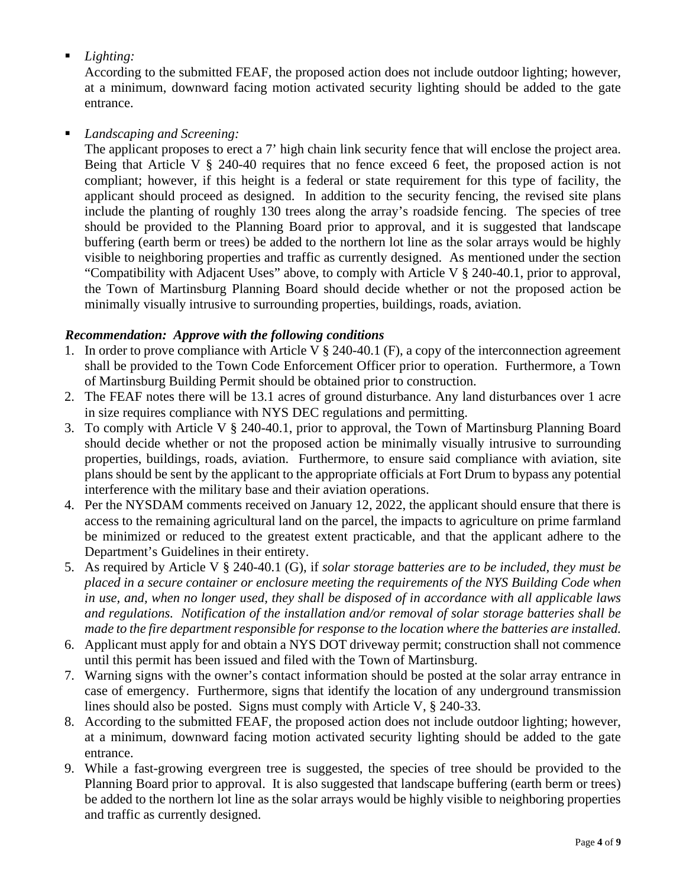# *Lighting:*

According to the submitted FEAF, the proposed action does not include outdoor lighting; however, at a minimum, downward facing motion activated security lighting should be added to the gate entrance.

# *Landscaping and Screening:*

The applicant proposes to erect a 7' high chain link security fence that will enclose the project area. Being that Article V § 240-40 requires that no fence exceed 6 feet, the proposed action is not compliant; however, if this height is a federal or state requirement for this type of facility, the applicant should proceed as designed. In addition to the security fencing, the revised site plans include the planting of roughly 130 trees along the array's roadside fencing. The species of tree should be provided to the Planning Board prior to approval, and it is suggested that landscape buffering (earth berm or trees) be added to the northern lot line as the solar arrays would be highly visible to neighboring properties and traffic as currently designed. As mentioned under the section "Compatibility with Adjacent Uses" above, to comply with Article V § 240-40.1, prior to approval, the Town of Martinsburg Planning Board should decide whether or not the proposed action be minimally visually intrusive to surrounding properties, buildings, roads, aviation.

# *Recommendation: Approve with the following conditions*

- 1. In order to prove compliance with Article V § 240-40.1 (F), a copy of the interconnection agreement shall be provided to the Town Code Enforcement Officer prior to operation. Furthermore, a Town of Martinsburg Building Permit should be obtained prior to construction.
- 2. The FEAF notes there will be 13.1 acres of ground disturbance. Any land disturbances over 1 acre in size requires compliance with NYS DEC regulations and permitting.
- 3. To comply with Article V § 240-40.1, prior to approval, the Town of Martinsburg Planning Board should decide whether or not the proposed action be minimally visually intrusive to surrounding properties, buildings, roads, aviation. Furthermore, to ensure said compliance with aviation, site plans should be sent by the applicant to the appropriate officials at Fort Drum to bypass any potential interference with the military base and their aviation operations.
- 4. Per the NYSDAM comments received on January 12, 2022, the applicant should ensure that there is access to the remaining agricultural land on the parcel, the impacts to agriculture on prime farmland be minimized or reduced to the greatest extent practicable, and that the applicant adhere to the Department's Guidelines in their entirety.
- 5. As required by Article V § 240-40.1 (G), if *solar storage batteries are to be included, they must be placed in a secure container or enclosure meeting the requirements of the NYS Building Code when in use, and, when no longer used, they shall be disposed of in accordance with all applicable laws and regulations. Notification of the installation and/or removal of solar storage batteries shall be made to the fire department responsible for response to the location where the batteries are installed.*
- 6. Applicant must apply for and obtain a NYS DOT driveway permit; construction shall not commence until this permit has been issued and filed with the Town of Martinsburg.
- 7. Warning signs with the owner's contact information should be posted at the solar array entrance in case of emergency. Furthermore, signs that identify the location of any underground transmission lines should also be posted. Signs must comply with Article V, § 240-33.
- 8. According to the submitted FEAF, the proposed action does not include outdoor lighting; however, at a minimum, downward facing motion activated security lighting should be added to the gate entrance.
- 9. While a fast-growing evergreen tree is suggested, the species of tree should be provided to the Planning Board prior to approval. It is also suggested that landscape buffering (earth berm or trees) be added to the northern lot line as the solar arrays would be highly visible to neighboring properties and traffic as currently designed.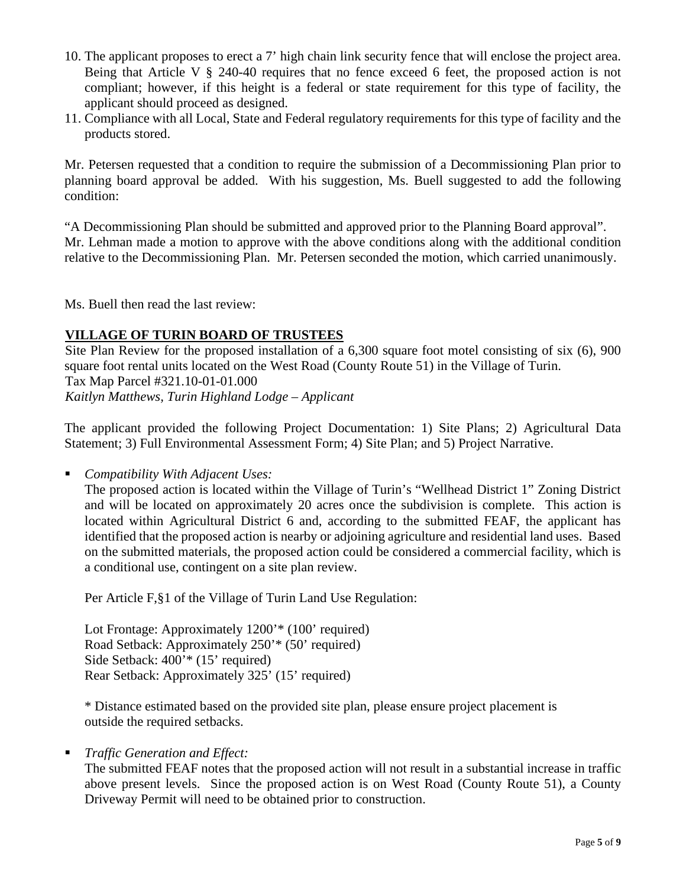- 10. The applicant proposes to erect a 7' high chain link security fence that will enclose the project area. Being that Article V § 240-40 requires that no fence exceed 6 feet, the proposed action is not compliant; however, if this height is a federal or state requirement for this type of facility, the applicant should proceed as designed.
- 11. Compliance with all Local, State and Federal regulatory requirements for this type of facility and the products stored.

Mr. Petersen requested that a condition to require the submission of a Decommissioning Plan prior to planning board approval be added. With his suggestion, Ms. Buell suggested to add the following condition:

"A Decommissioning Plan should be submitted and approved prior to the Planning Board approval". Mr. Lehman made a motion to approve with the above conditions along with the additional condition relative to the Decommissioning Plan. Mr. Petersen seconded the motion, which carried unanimously.

Ms. Buell then read the last review:

### **VILLAGE OF TURIN BOARD OF TRUSTEES**

Site Plan Review for the proposed installation of a 6,300 square foot motel consisting of six (6), 900 square foot rental units located on the West Road (County Route 51) in the Village of Turin. Tax Map Parcel #321.10-01-01.000 *Kaitlyn Matthews, Turin Highland Lodge – Applicant*

The applicant provided the following Project Documentation: 1) Site Plans; 2) Agricultural Data Statement; 3) Full Environmental Assessment Form; 4) Site Plan; and 5) Project Narrative.

*Compatibility With Adjacent Uses:*

The proposed action is located within the Village of Turin's "Wellhead District 1" Zoning District and will be located on approximately 20 acres once the subdivision is complete. This action is located within Agricultural District 6 and, according to the submitted FEAF, the applicant has identified that the proposed action is nearby or adjoining agriculture and residential land uses. Based on the submitted materials, the proposed action could be considered a commercial facility, which is a conditional use, contingent on a site plan review.

Per Article F,§1 of the Village of Turin Land Use Regulation:

Lot Frontage: Approximately 1200'\* (100' required) Road Setback: Approximately 250'\* (50' required) Side Setback: 400'\* (15' required) Rear Setback: Approximately 325' (15' required)

\* Distance estimated based on the provided site plan, please ensure project placement is outside the required setbacks.

*Traffic Generation and Effect:*

The submitted FEAF notes that the proposed action will not result in a substantial increase in traffic above present levels. Since the proposed action is on West Road (County Route 51), a County Driveway Permit will need to be obtained prior to construction.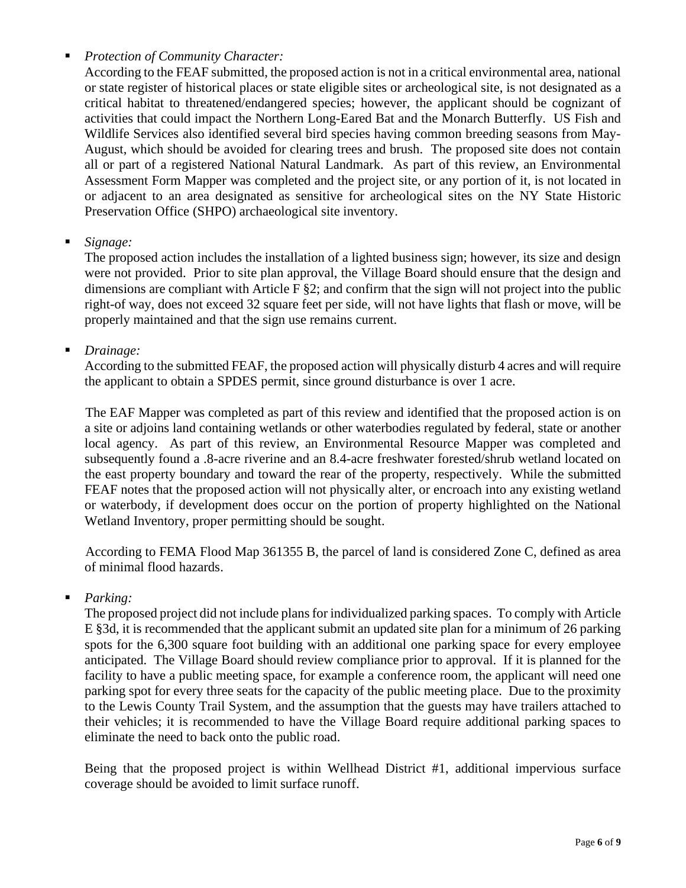# *Protection of Community Character:*

According to the FEAF submitted, the proposed action is not in a critical environmental area, national or state register of historical places or state eligible sites or archeological site, is not designated as a critical habitat to threatened/endangered species; however, the applicant should be cognizant of activities that could impact the Northern Long-Eared Bat and the Monarch Butterfly. US Fish and Wildlife Services also identified several bird species having common breeding seasons from May-August, which should be avoided for clearing trees and brush. The proposed site does not contain all or part of a registered National Natural Landmark. As part of this review, an Environmental Assessment Form Mapper was completed and the project site, or any portion of it, is not located in or adjacent to an area designated as sensitive for archeological sites on the NY State Historic Preservation Office (SHPO) archaeological site inventory.

# *Signage:*

The proposed action includes the installation of a lighted business sign; however, its size and design were not provided. Prior to site plan approval, the Village Board should ensure that the design and dimensions are compliant with Article F §2; and confirm that the sign will not project into the public right-of way, does not exceed 32 square feet per side, will not have lights that flash or move, will be properly maintained and that the sign use remains current.

*Drainage:*

According to the submitted FEAF, the proposed action will physically disturb 4 acres and will require the applicant to obtain a SPDES permit, since ground disturbance is over 1 acre.

The EAF Mapper was completed as part of this review and identified that the proposed action is on a site or adjoins land containing wetlands or other waterbodies regulated by federal, state or another local agency. As part of this review, an Environmental Resource Mapper was completed and subsequently found a .8-acre riverine and an 8.4-acre freshwater forested/shrub wetland located on the east property boundary and toward the rear of the property, respectively. While the submitted FEAF notes that the proposed action will not physically alter, or encroach into any existing wetland or waterbody, if development does occur on the portion of property highlighted on the National Wetland Inventory, proper permitting should be sought.

According to FEMA Flood Map 361355 B, the parcel of land is considered Zone C, defined as area of minimal flood hazards.

# *Parking:*

The proposed project did not include plans for individualized parking spaces. To comply with Article E §3d, it is recommended that the applicant submit an updated site plan for a minimum of 26 parking spots for the 6,300 square foot building with an additional one parking space for every employee anticipated. The Village Board should review compliance prior to approval. If it is planned for the facility to have a public meeting space, for example a conference room, the applicant will need one parking spot for every three seats for the capacity of the public meeting place. Due to the proximity to the Lewis County Trail System, and the assumption that the guests may have trailers attached to their vehicles; it is recommended to have the Village Board require additional parking spaces to eliminate the need to back onto the public road.

Being that the proposed project is within Wellhead District #1, additional impervious surface coverage should be avoided to limit surface runoff.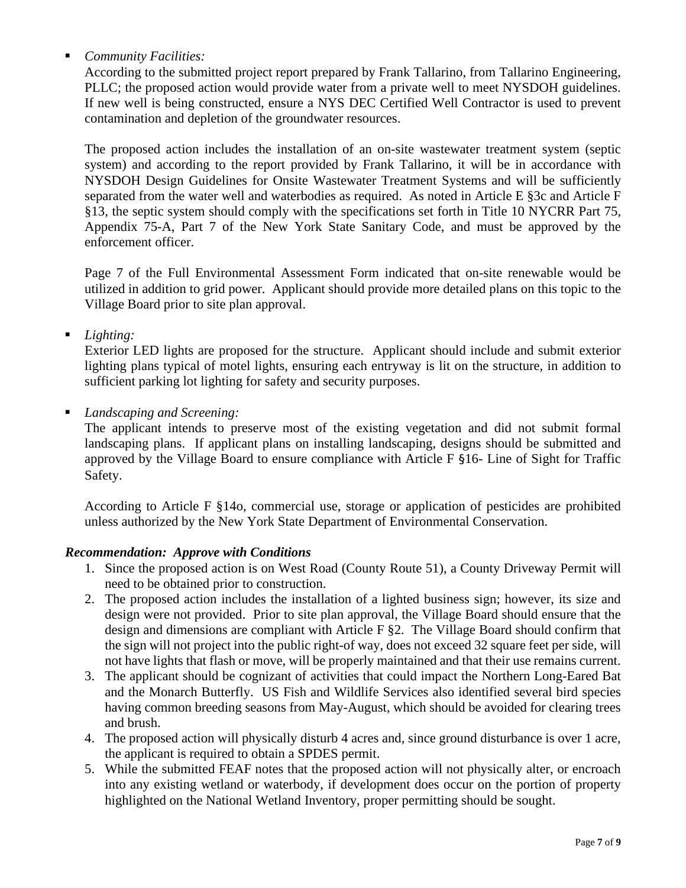# *Community Facilities:*

According to the submitted project report prepared by Frank Tallarino, from Tallarino Engineering, PLLC; the proposed action would provide water from a private well to meet NYSDOH guidelines. If new well is being constructed, ensure a NYS DEC Certified Well Contractor is used to prevent contamination and depletion of the groundwater resources.

The proposed action includes the installation of an on-site wastewater treatment system (septic system) and according to the report provided by Frank Tallarino, it will be in accordance with NYSDOH Design Guidelines for Onsite Wastewater Treatment Systems and will be sufficiently separated from the water well and waterbodies as required. As noted in Article E §3c and Article F §13, the septic system should comply with the specifications set forth in Title 10 NYCRR Part 75, Appendix 75-A, Part 7 of the New York State Sanitary Code, and must be approved by the enforcement officer.

Page 7 of the Full Environmental Assessment Form indicated that on-site renewable would be utilized in addition to grid power. Applicant should provide more detailed plans on this topic to the Village Board prior to site plan approval.

*Lighting:*

Exterior LED lights are proposed for the structure. Applicant should include and submit exterior lighting plans typical of motel lights, ensuring each entryway is lit on the structure, in addition to sufficient parking lot lighting for safety and security purposes.

*Landscaping and Screening:*

The applicant intends to preserve most of the existing vegetation and did not submit formal landscaping plans. If applicant plans on installing landscaping, designs should be submitted and approved by the Village Board to ensure compliance with Article F §16- Line of Sight for Traffic Safety.

According to Article F §14o, commercial use, storage or application of pesticides are prohibited unless authorized by the New York State Department of Environmental Conservation.

# *Recommendation: Approve with Conditions*

- 1. Since the proposed action is on West Road (County Route 51), a County Driveway Permit will need to be obtained prior to construction.
- 2. The proposed action includes the installation of a lighted business sign; however, its size and design were not provided. Prior to site plan approval, the Village Board should ensure that the design and dimensions are compliant with Article F §2. The Village Board should confirm that the sign will not project into the public right-of way, does not exceed 32 square feet per side, will not have lights that flash or move, will be properly maintained and that their use remains current.
- 3. The applicant should be cognizant of activities that could impact the Northern Long-Eared Bat and the Monarch Butterfly. US Fish and Wildlife Services also identified several bird species having common breeding seasons from May-August, which should be avoided for clearing trees and brush.
- 4. The proposed action will physically disturb 4 acres and, since ground disturbance is over 1 acre, the applicant is required to obtain a SPDES permit.
- 5. While the submitted FEAF notes that the proposed action will not physically alter, or encroach into any existing wetland or waterbody, if development does occur on the portion of property highlighted on the National Wetland Inventory, proper permitting should be sought.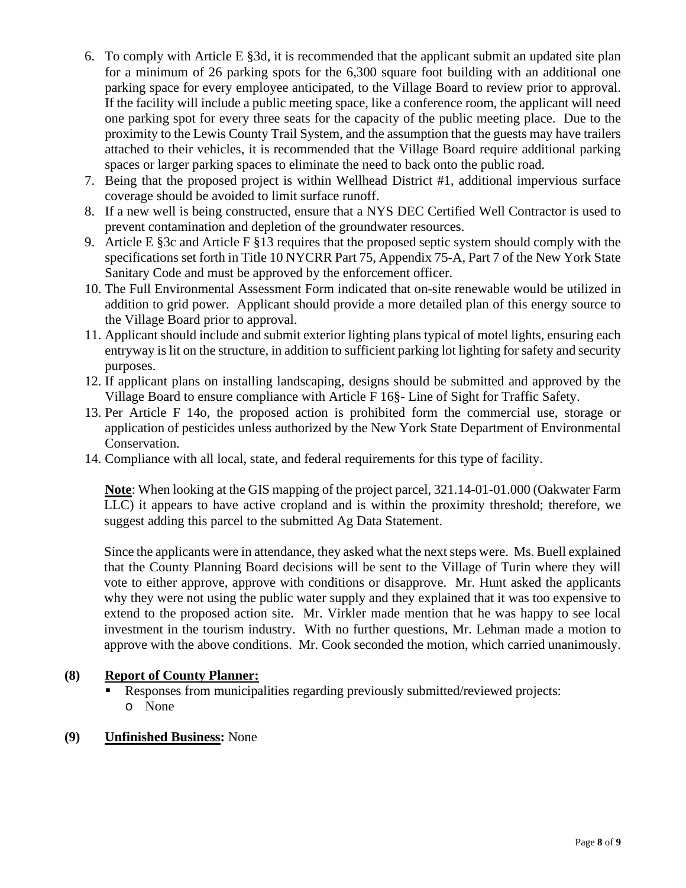- 6. To comply with Article E §3d, it is recommended that the applicant submit an updated site plan for a minimum of 26 parking spots for the 6,300 square foot building with an additional one parking space for every employee anticipated, to the Village Board to review prior to approval. If the facility will include a public meeting space, like a conference room, the applicant will need one parking spot for every three seats for the capacity of the public meeting place. Due to the proximity to the Lewis County Trail System, and the assumption that the guests may have trailers attached to their vehicles, it is recommended that the Village Board require additional parking spaces or larger parking spaces to eliminate the need to back onto the public road.
- 7. Being that the proposed project is within Wellhead District #1, additional impervious surface coverage should be avoided to limit surface runoff.
- 8. If a new well is being constructed, ensure that a NYS DEC Certified Well Contractor is used to prevent contamination and depletion of the groundwater resources.
- 9. Article E §3c and Article F §13 requires that the proposed septic system should comply with the specifications set forth in Title 10 NYCRR Part 75, Appendix 75-A, Part 7 of the New York State Sanitary Code and must be approved by the enforcement officer.
- 10. The Full Environmental Assessment Form indicated that on-site renewable would be utilized in addition to grid power. Applicant should provide a more detailed plan of this energy source to the Village Board prior to approval.
- 11. Applicant should include and submit exterior lighting plans typical of motel lights, ensuring each entryway is lit on the structure, in addition to sufficient parking lot lighting for safety and security purposes.
- 12. If applicant plans on installing landscaping, designs should be submitted and approved by the Village Board to ensure compliance with Article F 16§- Line of Sight for Traffic Safety.
- 13. Per Article F 14o, the proposed action is prohibited form the commercial use, storage or application of pesticides unless authorized by the New York State Department of Environmental Conservation.
- 14. Compliance with all local, state, and federal requirements for this type of facility.

**Note**: When looking at the GIS mapping of the project parcel, 321.14-01-01.000 (Oakwater Farm LLC) it appears to have active cropland and is within the proximity threshold; therefore, we suggest adding this parcel to the submitted Ag Data Statement.

Since the applicants were in attendance, they asked what the next steps were. Ms. Buell explained that the County Planning Board decisions will be sent to the Village of Turin where they will vote to either approve, approve with conditions or disapprove. Mr. Hunt asked the applicants why they were not using the public water supply and they explained that it was too expensive to extend to the proposed action site. Mr. Virkler made mention that he was happy to see local investment in the tourism industry. With no further questions, Mr. Lehman made a motion to approve with the above conditions. Mr. Cook seconded the motion, which carried unanimously.

# **(8) Report of County Planner:**

- Responses from municipalities regarding previously submitted/reviewed projects: o None
- **(9) Unfinished Business:** None